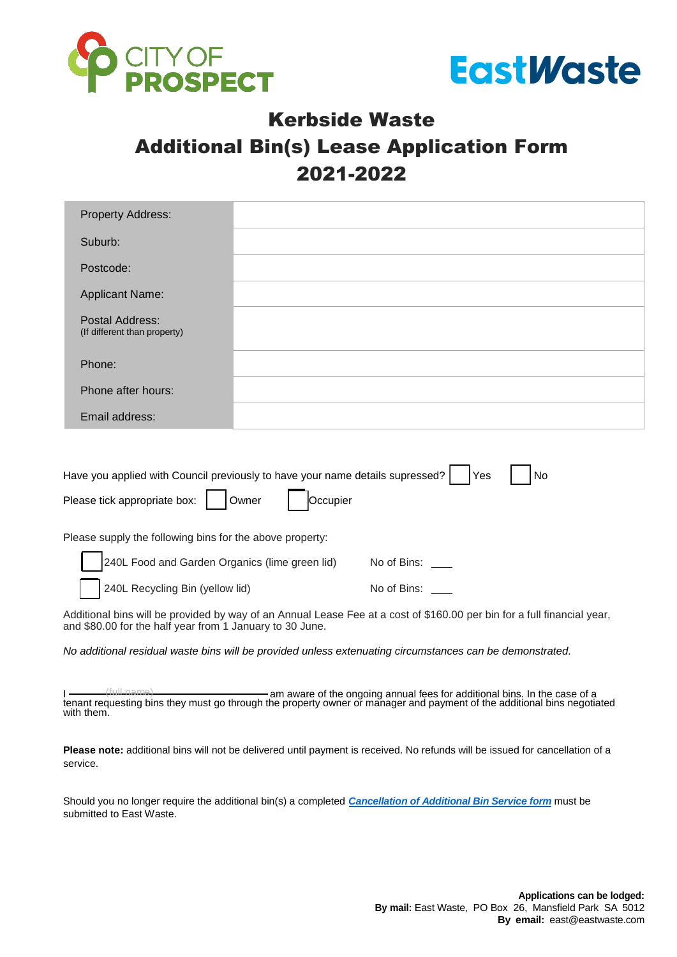



## Kerbside Waste Additional Bin(s) Lease Application Form 2021-2022

| <b>Property Address:</b>                                                                                                                        |  |
|-------------------------------------------------------------------------------------------------------------------------------------------------|--|
| Suburb:                                                                                                                                         |  |
| Postcode:                                                                                                                                       |  |
| <b>Applicant Name:</b>                                                                                                                          |  |
| Postal Address:<br>(If different than property)                                                                                                 |  |
| Phone:                                                                                                                                          |  |
| Phone after hours:                                                                                                                              |  |
| Email address:                                                                                                                                  |  |
| Have you applied with Council previously to have your name details supressed?<br>Yes<br>No<br>Occupier<br>Please tick appropriate box:<br>Owner |  |
| Please supply the following bins for the above property:                                                                                        |  |
| 240L Food and Garden Organics (lime green lid)<br>No of Bins:                                                                                   |  |

240L Recycling Bin (yellow lid) No of Bins: \_\_\_

Additional bins will be provided by way of an Annual Lease Fee at a cost of \$160.00 per bin for a full financial year, and \$80.00 for the half year from 1 January to 30 June.

*No additional residual waste bins will be provided unless extenuating circumstances can be demonstrated.* 

I ——— (full name) **and am aware of the ongoing annual fees for additional bins. In the case of a** a tenant requesting bins they must go through the property owner or manager and payment of the additional bins negotiated with them.

**Please note:** additional bins will not be delivered until payment is received. No refunds will be issued for cancellation of a service.

Should you no longer require the additional bin(s) a completed *[Cancellation of Additional Bin Service form](https://www.eastwaste.com.au/transfer-or-cancellation-of-bin-lease-cop-website-fillable/)* must be submitted to East Waste.